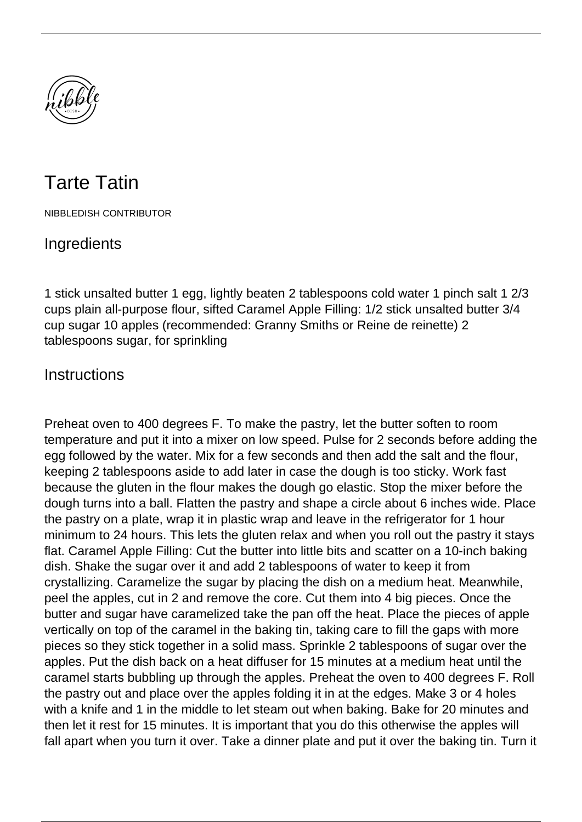

## Tarte Tatin

NIBBLEDISH CONTRIBUTOR

## **Ingredients**

1 stick unsalted butter 1 egg, lightly beaten 2 tablespoons cold water 1 pinch salt 1 2/3 cups plain all-purpose flour, sifted Caramel Apple Filling: 1/2 stick unsalted butter 3/4 cup sugar 10 apples (recommended: Granny Smiths or Reine de reinette) 2 tablespoons sugar, for sprinkling

## **Instructions**

Preheat oven to 400 degrees F. To make the pastry, let the butter soften to room temperature and put it into a mixer on low speed. Pulse for 2 seconds before adding the egg followed by the water. Mix for a few seconds and then add the salt and the flour, keeping 2 tablespoons aside to add later in case the dough is too sticky. Work fast because the gluten in the flour makes the dough go elastic. Stop the mixer before the dough turns into a ball. Flatten the pastry and shape a circle about 6 inches wide. Place the pastry on a plate, wrap it in plastic wrap and leave in the refrigerator for 1 hour minimum to 24 hours. This lets the gluten relax and when you roll out the pastry it stays flat. Caramel Apple Filling: Cut the butter into little bits and scatter on a 10-inch baking dish. Shake the sugar over it and add 2 tablespoons of water to keep it from crystallizing. Caramelize the sugar by placing the dish on a medium heat. Meanwhile, peel the apples, cut in 2 and remove the core. Cut them into 4 big pieces. Once the butter and sugar have caramelized take the pan off the heat. Place the pieces of apple vertically on top of the caramel in the baking tin, taking care to fill the gaps with more pieces so they stick together in a solid mass. Sprinkle 2 tablespoons of sugar over the apples. Put the dish back on a heat diffuser for 15 minutes at a medium heat until the caramel starts bubbling up through the apples. Preheat the oven to 400 degrees F. Roll the pastry out and place over the apples folding it in at the edges. Make 3 or 4 holes with a knife and 1 in the middle to let steam out when baking. Bake for 20 minutes and then let it rest for 15 minutes. It is important that you do this otherwise the apples will fall apart when you turn it over. Take a dinner plate and put it over the baking tin. Turn it